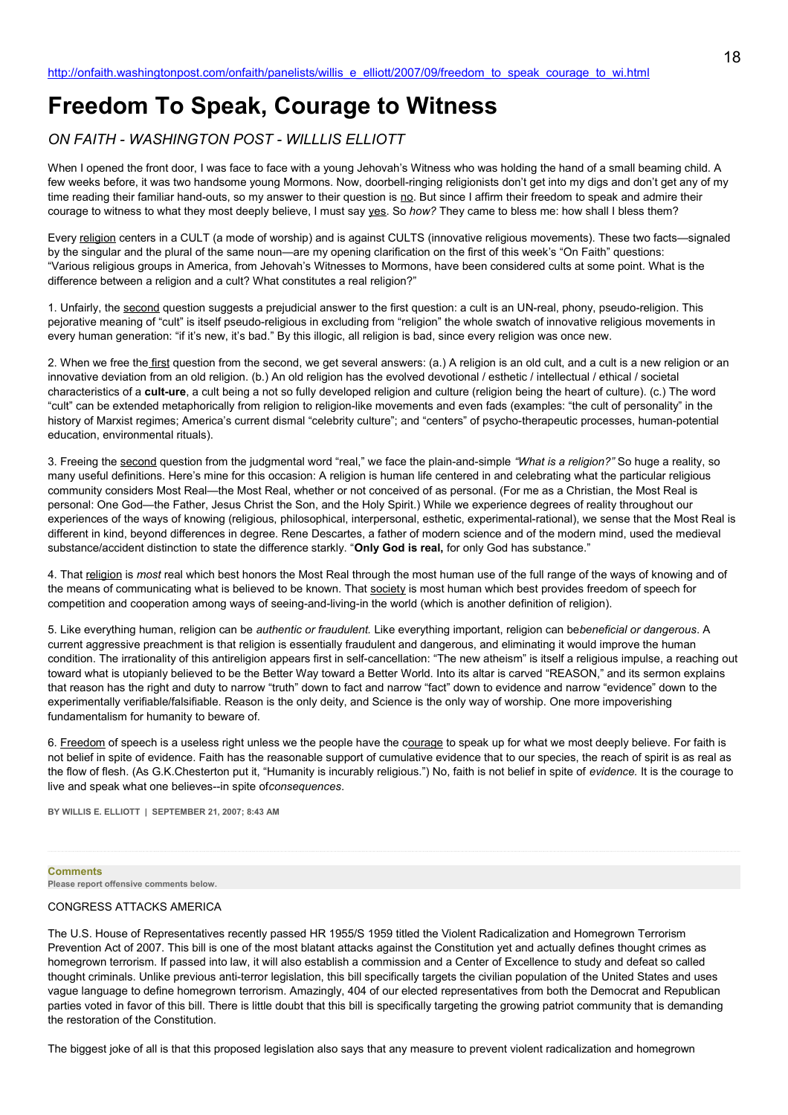# **Freedom To Speak, Courage to Witness**

# *ON FAITH - WASHINGTON POST - WILLLIS ELLIOTT*

When I opened the front door, I was face to face with a young Jehovah's Witness who was holding the hand of a small beaming child. A few weeks before, it was two handsome young Mormons. Now, doorbell-ringing religionists don't get into my digs and don't get any of my time reading their familiar hand-outs, so my answer to their question is no. But since I affirm their freedom to speak and admire their courage to witness to what they most deeply believe, I must say yes. So *how?* They came to bless me: how shall I bless them?

Every religion centers in a CULT (a mode of worship) and is against CULTS (innovative religious movements). These two facts—signaled by the singular and the plural of the same noun—are my opening clarification on the first of this week's "On Faith" questions: "Various religious groups in America, from Jehovah's Witnesses to Mormons, have been considered cults at some point. What is the difference between a religion and a cult? What constitutes a real religion?"

1. Unfairly, the second question suggests a prejudicial answer to the first question: a cult is an UN-real, phony, pseudo-religion. This pejorative meaning of "cult" is itself pseudo-religious in excluding from "religion" the whole swatch of innovative religious movements in every human generation: "if it's new, it's bad." By this illogic, all religion is bad, since every religion was once new.

2. When we free the first question from the second, we get several answers: (a.) A religion is an old cult, and a cult is a new religion or an innovative deviation from an old religion. (b.) An old religion has the evolved devotional / esthetic / intellectual / ethical / societal characteristics of a **cult-ure**, a cult being a not so fully developed religion and culture (religion being the heart of culture). (c.) The word "cult" can be extended metaphorically from religion to religion-like movements and even fads (examples: "the cult of personality" in the history of Marxist regimes; America's current dismal "celebrity culture"; and "centers" of psycho-therapeutic processes, human-potential education, environmental rituals).

3. Freeing the second question from the judgmental word "real," we face the plain-and-simple *"What is a religion?"* So huge a reality, so many useful definitions. Here's mine for this occasion: A religion is human life centered in and celebrating what the particular religious community considers Most Real—the Most Real, whether or not conceived of as personal. (For me as a Christian, the Most Real is personal: One God—the Father, Jesus Christ the Son, and the Holy Spirit.) While we experience degrees of reality throughout our experiences of the ways of knowing (religious, philosophical, interpersonal, esthetic, experimental-rational), we sense that the Most Real is different in kind, beyond differences in degree. Rene Descartes, a father of modern science and of the modern mind, used the medieval substance/accident distinction to state the difference starkly. "**Only God is real,** for only God has substance."

4. That religion is *most* real which best honors the Most Real through the most human use of the full range of the ways of knowing and of the means of communicating what is believed to be known. That society is most human which best provides freedom of speech for competition and cooperation among ways of seeing-and-living-in the world (which is another definition of religion).

5. Like everything human, religion can be *authentic or fraudulent.* Like everything important, religion can be*beneficial or dangerous*. A current aggressive preachment is that religion is essentially fraudulent and dangerous, and eliminating it would improve the human condition. The irrationality of this antireligion appears first in self-cancellation: "The new atheism" is itself a religious impulse, a reaching out toward what is utopianly believed to be the Better Way toward a Better World. Into its altar is carved "REASON," and its sermon explains that reason has the right and duty to narrow "truth" down to fact and narrow "fact" down to evidence and narrow "evidence" down to the experimentally verifiable/falsifiable. Reason is the only deity, and Science is the only way of worship. One more impoverishing fundamentalism for humanity to beware of.

6. Freedom of speech is a useless right unless we the people have the courage to speak up for what we most deeply believe. For faith is not belief in spite of evidence. Faith has the reasonable support of cumulative evidence that to our species, the reach of spirit is as real as the flow of flesh. (As G.K.Chesterton put it, "Humanity is incurably religious.") No, faith is not belief in spite of *evidence.* It is the courage to live and speak what one believes--in spite of*consequences*.

**BY WILLIS E. ELLIOTT | SEPTEMBER 21, 2007; 8:43 AM** 

#### **Comments**

**Please report offensive comments below.**

## CONGRESS ATTACKS AMERICA

The U.S. House of Representatives recently passed HR 1955/S 1959 titled the Violent Radicalization and Homegrown Terrorism Prevention Act of 2007. This bill is one of the most blatant attacks against the Constitution yet and actually defines thought crimes as homegrown terrorism. If passed into law, it will also establish a commission and a Center of Excellence to study and defeat so called thought criminals. Unlike previous anti-terror legislation, this bill specifically targets the civilian population of the United States and uses vague language to define homegrown terrorism. Amazingly, 404 of our elected representatives from both the Democrat and Republican parties voted in favor of this bill. There is little doubt that this bill is specifically targeting the growing patriot community that is demanding the restoration of the Constitution.

The biggest joke of all is that this proposed legislation also says that any measure to prevent violent radicalization and homegrown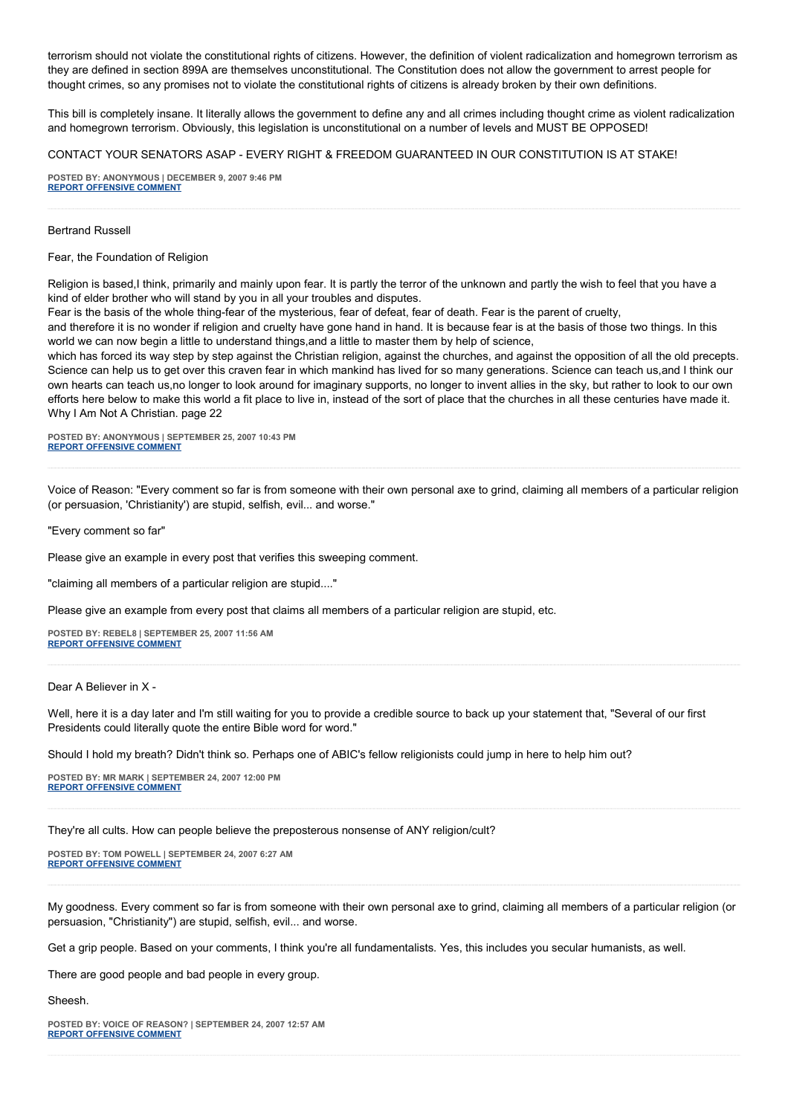terrorism should not violate the constitutional rights of citizens. However, the definition of violent radicalization and homegrown terrorism as they are defined in section 899A are themselves unconstitutional. The Constitution does not allow the government to arrest people for thought crimes, so any promises not to violate the constitutional rights of citizens is already broken by their own definitions.

This bill is completely insane. It literally allows the government to define any and all crimes including thought crime as violent radicalization and homegrown terrorism. Obviously, this legislation is unconstitutional on a number of levels and MUST BE OPPOSED!

#### CONTACT YOUR SENATORS ASAP - EVERY RIGHT & FREEDOM GUARANTEED IN OUR CONSTITUTION IS AT STAKE!

**POSTED BY: ANONYMOUS | DECEMBER 9, 2007 9:46 PM [REPORT OFFENSIVE COMMENT](mailto:blogs@washingtonpost.com?subject=On%20Faith%20Panelists%20Blog%20%20%7C%20%20Anonymous%20%20%7C%20%20Freedom%20To%20Speak,%20Courage%20to%20Witness%20%20%7C%20%201862119&body=%0D%0D%0D%0D%0D================%0D?__mode=view%26_type=comment%26id=1862119%26blog_id=618)**

#### Bertrand Russell

Fear, the Foundation of Religion

Religion is based,I think, primarily and mainly upon fear. It is partly the terror of the unknown and partly the wish to feel that you have a kind of elder brother who will stand by you in all your troubles and disputes.

Fear is the basis of the whole thing-fear of the mysterious, fear of defeat, fear of death. Fear is the parent of cruelty,

and therefore it is no wonder if religion and cruelty have gone hand in hand. It is because fear is at the basis of those two things. In this world we can now begin a little to understand things,and a little to master them by help of science,

which has forced its way step by step against the Christian religion, against the churches, and against the opposition of all the old precepts. Science can help us to get over this craven fear in which mankind has lived for so many generations. Science can teach us,and I think our own hearts can teach us,no longer to look around for imaginary supports, no longer to invent allies in the sky, but rather to look to our own efforts here below to make this world a fit place to live in, instead of the sort of place that the churches in all these centuries have made it. Why I Am Not A Christian. page 22

**POSTED BY: ANONYMOUS | SEPTEMBER 25, 2007 10:43 PM [REPORT OFFENSIVE COMMENT](mailto:blogs@washingtonpost.com?subject=On%20Faith%20Panelists%20Blog%20%20%7C%20%20Anonymous%20%20%7C%20%20Freedom%20To%20Speak,%20Courage%20to%20Witness%20%20%7C%20%201433054&body=%0D%0D%0D%0D%0D================%0D?__mode=view%26_type=comment%26id=1433054%26blog_id=618)**

Voice of Reason: "Every comment so far is from someone with their own personal axe to grind, claiming all members of a particular religion (or persuasion, 'Christianity') are stupid, selfish, evil... and worse."

"Every comment so far"

Please give an example in every post that verifies this sweeping comment.

"claiming all members of a particular religion are stupid...."

Please give an example from every post that claims all members of a particular religion are stupid, etc.

**POSTED BY: REBEL8 | SEPTEMBER 25, 2007 11:56 AM [REPORT OFFENSIVE COMMENT](mailto:blogs@washingtonpost.com?subject=On%20Faith%20Panelists%20Blog%20%20%7C%20%20rebel8%20%20%7C%20%20Freedom%20To%20Speak,%20Courage%20to%20Witness%20%20%7C%20%201430289&body=%0D%0D%0D%0D%0D================%0D?__mode=view%26_type=comment%26id=1430289%26blog_id=618)**

Dear A Believer in X -

Well, here it is a day later and I'm still waiting for you to provide a credible source to back up your statement that, "Several of our first Presidents could literally quote the entire Bible word for word."

Should I hold my breath? Didn't think so. Perhaps one of ABIC's fellow religionists could jump in here to help him out?

**POSTED BY: MR MARK | SEPTEMBER 24, 2007 12:00 PM [REPORT OFFENSIVE COMMENT](mailto:blogs@washingtonpost.com?subject=On%20Faith%20Panelists%20Blog%20%20%7C%20%20Mr%20Mark%20%20%7C%20%20Freedom%20To%20Speak,%20Courage%20to%20Witness%20%20%7C%20%201425111&body=%0D%0D%0D%0D%0D================%0D?__mode=view%26_type=comment%26id=1425111%26blog_id=618)**

They're all cults. How can people believe the preposterous nonsense of ANY religion/cult?

**POSTED BY: TOM POWELL | SEPTEMBER 24, 2007 6:27 AM [REPORT OFFENSIVE COMMENT](mailto:blogs@washingtonpost.com?subject=On%20Faith%20Panelists%20Blog%20%20%7C%20%20Tom%20Powell%20%20%7C%20%20Freedom%20To%20Speak,%20Courage%20to%20Witness%20%20%7C%20%201423865&body=%0D%0D%0D%0D%0D================%0D?__mode=view%26_type=comment%26id=1423865%26blog_id=618)**

My goodness. Every comment so far is from someone with their own personal axe to grind, claiming all members of a particular religion (or persuasion, "Christianity") are stupid, selfish, evil... and worse.

Get a grip people. Based on your comments, I think you're all fundamentalists. Yes, this includes you secular humanists, as well.

There are good people and bad people in every group.

Sheesh.

**POSTED BY: VOICE OF REASON? | SEPTEMBER 24, 2007 12:57 AM [REPORT OFFENSIVE COMMENT](mailto:blogs@washingtonpost.com?subject=On%20Faith%20Panelists%20Blog%20%20%7C%20%20Voice%20of%20reason?%20%20%7C%20%20Freedom%20To%20Speak,%20Courage%20to%20Witness%20%20%7C%20%201422644&body=%0D%0D%0D%0D%0D================%0D?__mode=view%26_type=comment%26id=1422644%26blog_id=618)**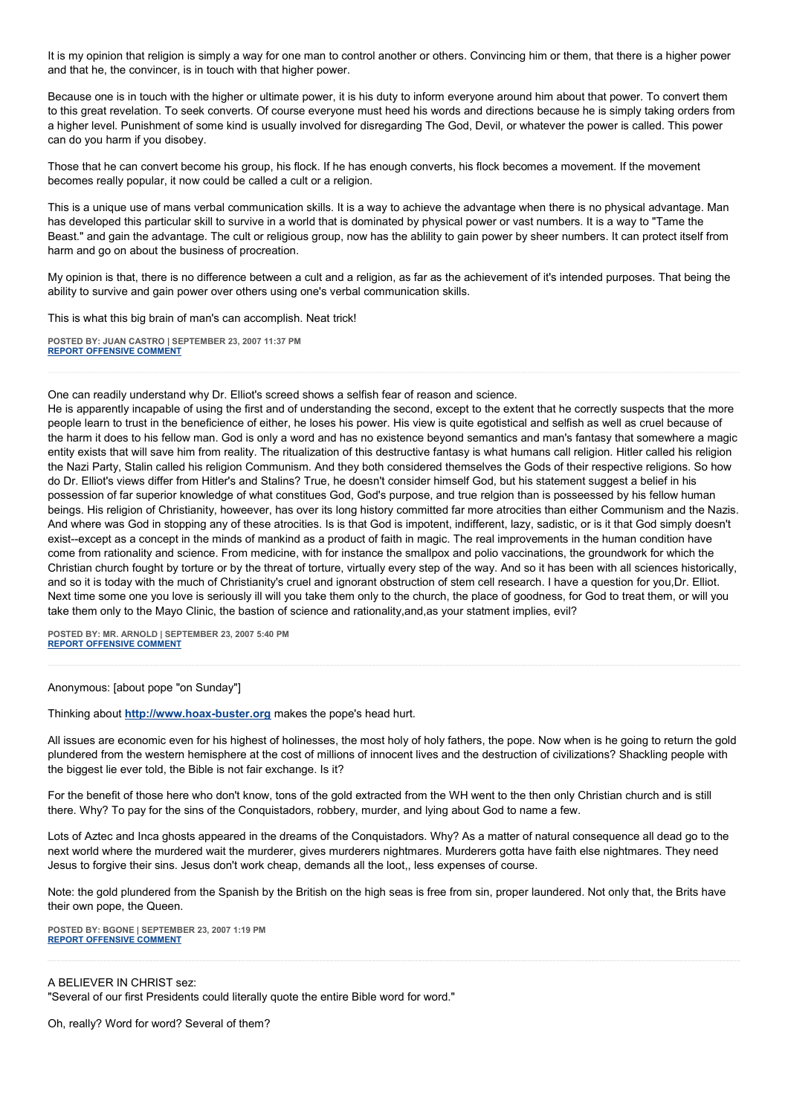It is my opinion that religion is simply a way for one man to control another or others. Convincing him or them, that there is a higher power and that he, the convincer, is in touch with that higher power.

Because one is in touch with the higher or ultimate power, it is his duty to inform everyone around him about that power. To convert them to this great revelation. To seek converts. Of course everyone must heed his words and directions because he is simply taking orders from a higher level. Punishment of some kind is usually involved for disregarding The God, Devil, or whatever the power is called. This power can do you harm if you disobey.

Those that he can convert become his group, his flock. If he has enough converts, his flock becomes a movement. If the movement becomes really popular, it now could be called a cult or a religion.

This is a unique use of mans verbal communication skills. It is a way to achieve the advantage when there is no physical advantage. Man has developed this particular skill to survive in a world that is dominated by physical power or vast numbers. It is a way to "Tame the Beast." and gain the advantage. The cult or religious group, now has the ablility to gain power by sheer numbers. It can protect itself from harm and go on about the business of procreation.

My opinion is that, there is no difference between a cult and a religion, as far as the achievement of it's intended purposes. That being the ability to survive and gain power over others using one's verbal communication skills.

This is what this big brain of man's can accomplish. Neat trick!

**POSTED BY: JUAN CASTRO | SEPTEMBER 23, 2007 11:37 PM [REPORT OFFENSIVE COMMENT](mailto:blogs@washingtonpost.com?subject=On%20Faith%20Panelists%20Blog%20%20%7C%20%20Juan%20Castro%20%20%7C%20%20Freedom%20To%20Speak,%20Courage%20to%20Witness%20%20%7C%20%201422408&body=%0D%0D%0D%0D%0D================%0D?__mode=view%26_type=comment%26id=1422408%26blog_id=618)**

One can readily understand why Dr. Elliot's screed shows a selfish fear of reason and science.

He is apparently incapable of using the first and of understanding the second, except to the extent that he correctly suspects that the more people learn to trust in the beneficience of either, he loses his power. His view is quite egotistical and selfish as well as cruel because of the harm it does to his fellow man. God is only a word and has no existence beyond semantics and man's fantasy that somewhere a magic entity exists that will save him from reality. The ritualization of this destructive fantasy is what humans call religion. Hitler called his religion the Nazi Party, Stalin called his religion Communism. And they both considered themselves the Gods of their respective religions. So how do Dr. Elliot's views differ from Hitler's and Stalins? True, he doesn't consider himself God, but his statement suggest a belief in his possession of far superior knowledge of what constitues God, God's purpose, and true relgion than is posseessed by his fellow human beings. His religion of Christianity, howeever, has over its long history committed far more atrocities than either Communism and the Nazis. And where was God in stopping any of these atrocities. Is is that God is impotent, indifferent, lazy, sadistic, or is it that God simply doesn't exist--except as a concept in the minds of mankind as a product of faith in magic. The real improvements in the human condition have come from rationality and science. From medicine, with for instance the smallpox and polio vaccinations, the groundwork for which the Christian church fought by torture or by the threat of torture, virtually every step of the way. And so it has been with all sciences historically, and so it is today with the much of Christianity's cruel and ignorant obstruction of stem cell research. I have a question for you,Dr. Elliot. Next time some one you love is seriously ill will you take them only to the church, the place of goodness, for God to treat them, or will you take them only to the Mayo Clinic, the bastion of science and rationality,and,as your statment implies, evil?

**POSTED BY: MR. ARNOLD | SEPTEMBER 23, 2007 5:40 PM [REPORT OFFENSIVE COMMENT](mailto:blogs@washingtonpost.com?subject=On%20Faith%20Panelists%20Blog%20%20%7C%20%20Mr.%20Arnold%20%20%7C%20%20Freedom%20To%20Speak,%20Courage%20to%20Witness%20%20%7C%20%201421170&body=%0D%0D%0D%0D%0D================%0D?__mode=view%26_type=comment%26id=1421170%26blog_id=618)**

Anonymous: [about pope "on Sunday"]

Thinking about **[http://www.hoax-buster.org](http://www.hoax-buster.org/)** makes the pope's head hurt.

All issues are economic even for his highest of holinesses, the most holy of holy fathers, the pope. Now when is he going to return the gold plundered from the western hemisphere at the cost of millions of innocent lives and the destruction of civilizations? Shackling people with the biggest lie ever told, the Bible is not fair exchange. Is it?

For the benefit of those here who don't know, tons of the gold extracted from the WH went to the then only Christian church and is still there. Why? To pay for the sins of the Conquistadors, robbery, murder, and lying about God to name a few.

Lots of Aztec and Inca ghosts appeared in the dreams of the Conquistadors. Why? As a matter of natural consequence all dead go to the next world where the murdered wait the murderer, gives murderers nightmares. Murderers gotta have faith else nightmares. They need Jesus to forgive their sins. Jesus don't work cheap, demands all the loot,, less expenses of course.

Note: the gold plundered from the Spanish by the British on the high seas is free from sin, proper laundered. Not only that, the Brits have their own pope, the Queen.

**POSTED BY: BGONE | SEPTEMBER 23, 2007 1:19 PM [REPORT OFFENSIVE COMMENT](mailto:blogs@washingtonpost.com?subject=On%20Faith%20Panelists%20Blog%20%20%7C%20%20BGone%20%20%7C%20%20Freedom%20To%20Speak,%20Courage%20to%20Witness%20%20%7C%20%201420319&body=%0D%0D%0D%0D%0D================%0D?__mode=view%26_type=comment%26id=1420319%26blog_id=618)**

A BELIEVER IN CHRIST sez:

"Several of our first Presidents could literally quote the entire Bible word for word."

Oh, really? Word for word? Several of them?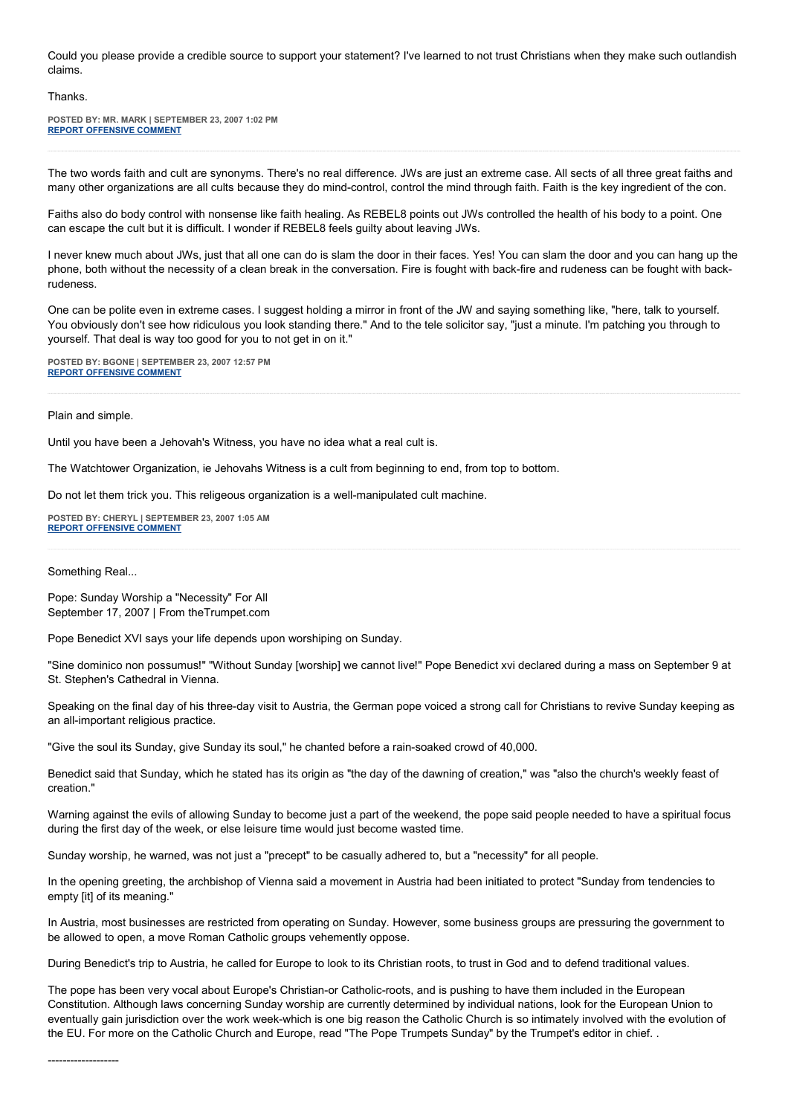Could you please provide a credible source to support your statement? I've learned to not trust Christians when they make such outlandish claims.

#### Thanks.

**POSTED BY: MR. MARK | SEPTEMBER 23, 2007 1:02 PM [REPORT OFFENSIVE COMMENT](mailto:blogs@washingtonpost.com?subject=On%20Faith%20Panelists%20Blog%20%20%7C%20%20Mr.%20Mark%20%20%7C%20%20Freedom%20To%20Speak,%20Courage%20to%20Witness%20%20%7C%20%201420281&body=%0D%0D%0D%0D%0D================%0D?__mode=view%26_type=comment%26id=1420281%26blog_id=618)**

The two words faith and cult are synonyms. There's no real difference. JWs are just an extreme case. All sects of all three great faiths and many other organizations are all cults because they do mind-control, control the mind through faith. Faith is the key ingredient of the con.

Faiths also do body control with nonsense like faith healing. As REBEL8 points out JWs controlled the health of his body to a point. One can escape the cult but it is difficult. I wonder if REBEL8 feels guilty about leaving JWs.

I never knew much about JWs, just that all one can do is slam the door in their faces. Yes! You can slam the door and you can hang up the phone, both without the necessity of a clean break in the conversation. Fire is fought with back-fire and rudeness can be fought with backrudeness.

One can be polite even in extreme cases. I suggest holding a mirror in front of the JW and saying something like, "here, talk to yourself. You obviously don't see how ridiculous you look standing there." And to the tele solicitor say, "just a minute. I'm patching you through to yourself. That deal is way too good for you to not get in on it."

**POSTED BY: BGONE | SEPTEMBER 23, 2007 12:57 PM [REPORT OFFENSIVE COMMENT](mailto:blogs@washingtonpost.com?subject=On%20Faith%20Panelists%20Blog%20%20%7C%20%20BGone%20%20%7C%20%20Freedom%20To%20Speak,%20Courage%20to%20Witness%20%20%7C%20%201420263&body=%0D%0D%0D%0D%0D================%0D?__mode=view%26_type=comment%26id=1420263%26blog_id=618)**

Plain and simple.

Until you have been a Jehovah's Witness, you have no idea what a real cult is.

The Watchtower Organization, ie Jehovahs Witness is a cult from beginning to end, from top to bottom.

Do not let them trick you. This religeous organization is a well-manipulated cult machine.

**POSTED BY: CHERYL | SEPTEMBER 23, 2007 1:05 AM [REPORT OFFENSIVE COMMENT](mailto:blogs@washingtonpost.com?subject=On%20Faith%20Panelists%20Blog%20%20%7C%20%20Cheryl%20%20%7C%20%20Freedom%20To%20Speak,%20Courage%20to%20Witness%20%20%7C%20%201418327&body=%0D%0D%0D%0D%0D================%0D?__mode=view%26_type=comment%26id=1418327%26blog_id=618)**

Something Real...

Pope: Sunday Worship a "Necessity" For All September 17, 2007 | From theTrumpet.com

Pope Benedict XVI says your life depends upon worshiping on Sunday.

"Sine dominico non possumus!" "Without Sunday [worship] we cannot live!" Pope Benedict xvi declared during a mass on September 9 at St. Stephen's Cathedral in Vienna.

Speaking on the final day of his three-day visit to Austria, the German pope voiced a strong call for Christians to revive Sunday keeping as an all-important religious practice.

"Give the soul its Sunday, give Sunday its soul," he chanted before a rain-soaked crowd of 40,000.

Benedict said that Sunday, which he stated has its origin as "the day of the dawning of creation," was "also the church's weekly feast of creation."

Warning against the evils of allowing Sunday to become just a part of the weekend, the pope said people needed to have a spiritual focus during the first day of the week, or else leisure time would just become wasted time.

Sunday worship, he warned, was not just a "precept" to be casually adhered to, but a "necessity" for all people.

In the opening greeting, the archbishop of Vienna said a movement in Austria had been initiated to protect "Sunday from tendencies to empty [it] of its meaning."

In Austria, most businesses are restricted from operating on Sunday. However, some business groups are pressuring the government to be allowed to open, a move Roman Catholic groups vehemently oppose.

During Benedict's trip to Austria, he called for Europe to look to its Christian roots, to trust in God and to defend traditional values.

The pope has been very vocal about Europe's Christian-or Catholic-roots, and is pushing to have them included in the European Constitution. Although laws concerning Sunday worship are currently determined by individual nations, look for the European Union to eventually gain jurisdiction over the work week-which is one big reason the Catholic Church is so intimately involved with the evolution of the EU. For more on the Catholic Church and Europe, read "The Pope Trumpets Sunday" by the Trumpet's editor in chief. .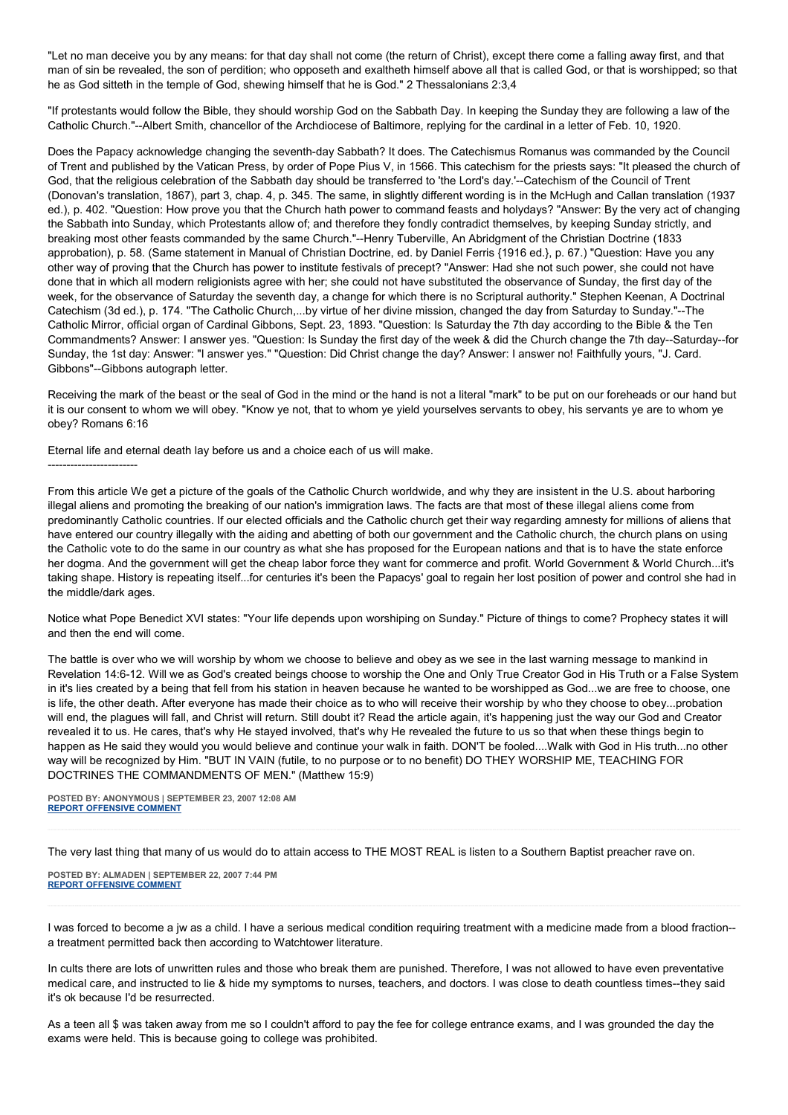"Let no man deceive you by any means: for that day shall not come (the return of Christ), except there come a falling away first, and that man of sin be revealed, the son of perdition; who opposeth and exaltheth himself above all that is called God, or that is worshipped; so that he as God sitteth in the temple of God, shewing himself that he is God." 2 Thessalonians 2:3,4

"If protestants would follow the Bible, they should worship God on the Sabbath Day. In keeping the Sunday they are following a law of the Catholic Church."--Albert Smith, chancellor of the Archdiocese of Baltimore, replying for the cardinal in a letter of Feb. 10, 1920.

Does the Papacy acknowledge changing the seventh-day Sabbath? It does. The Catechismus Romanus was commanded by the Council of Trent and published by the Vatican Press, by order of Pope Pius V, in 1566. This catechism for the priests says: "It pleased the church of God, that the religious celebration of the Sabbath day should be transferred to 'the Lord's day.'--Catechism of the Council of Trent (Donovan's translation, 1867), part 3, chap. 4, p. 345. The same, in slightly different wording is in the McHugh and Callan translation (1937 ed.), p. 402. "Question: How prove you that the Church hath power to command feasts and holydays? "Answer: By the very act of changing the Sabbath into Sunday, which Protestants allow of; and therefore they fondly contradict themselves, by keeping Sunday strictly, and breaking most other feasts commanded by the same Church."--Henry Tuberville, An Abridgment of the Christian Doctrine (1833 approbation), p. 58. (Same statement in Manual of Christian Doctrine, ed. by Daniel Ferris {1916 ed.}, p. 67.) "Question: Have you any other way of proving that the Church has power to institute festivals of precept? "Answer: Had she not such power, she could not have done that in which all modern religionists agree with her; she could not have substituted the observance of Sunday, the first day of the week, for the observance of Saturday the seventh day, a change for which there is no Scriptural authority." Stephen Keenan, A Doctrinal Catechism (3d ed.), p. 174. "The Catholic Church,...by virtue of her divine mission, changed the day from Saturday to Sunday."--The Catholic Mirror, official organ of Cardinal Gibbons, Sept. 23, 1893. "Question: Is Saturday the 7th day according to the Bible & the Ten Commandments? Answer: I answer yes. "Question: Is Sunday the first day of the week & did the Church change the 7th day--Saturday--for Sunday, the 1st day: Answer: "I answer yes." "Question: Did Christ change the day? Answer: I answer no! Faithfully yours, "J. Card. Gibbons"--Gibbons autograph letter.

Receiving the mark of the beast or the seal of God in the mind or the hand is not a literal "mark" to be put on our foreheads or our hand but it is our consent to whom we will obey. "Know ye not, that to whom ye yield yourselves servants to obey, his servants ye are to whom ye obey? Romans 6:16

Eternal life and eternal death lay before us and a choice each of us will make.

#### ------------------------

From this article We get a picture of the goals of the Catholic Church worldwide, and why they are insistent in the U.S. about harboring illegal aliens and promoting the breaking of our nation's immigration laws. The facts are that most of these illegal aliens come from predominantly Catholic countries. If our elected officials and the Catholic church get their way regarding amnesty for millions of aliens that have entered our country illegally with the aiding and abetting of both our government and the Catholic church, the church plans on using the Catholic vote to do the same in our country as what she has proposed for the European nations and that is to have the state enforce her dogma. And the government will get the cheap labor force they want for commerce and profit. World Government & World Church...it's taking shape. History is repeating itself...for centuries it's been the Papacys' goal to regain her lost position of power and control she had in the middle/dark ages.

Notice what Pope Benedict XVI states: "Your life depends upon worshiping on Sunday." Picture of things to come? Prophecy states it will and then the end will come.

The battle is over who we will worship by whom we choose to believe and obey as we see in the last warning message to mankind in Revelation 14:6-12. Will we as God's created beings choose to worship the One and Only True Creator God in His Truth or a False System in it's lies created by a being that fell from his station in heaven because he wanted to be worshipped as God...we are free to choose, one is life, the other death. After everyone has made their choice as to who will receive their worship by who they choose to obey...probation will end, the plagues will fall, and Christ will return. Still doubt it? Read the article again, it's happening just the way our God and Creator revealed it to us. He cares, that's why He stayed involved, that's why He revealed the future to us so that when these things begin to happen as He said they would you would believe and continue your walk in faith. DON'T be fooled....Walk with God in His truth...no other way will be recognized by Him. "BUT IN VAIN (futile, to no purpose or to no benefit) DO THEY WORSHIP ME, TEACHING FOR DOCTRINES THE COMMANDMENTS OF MEN." (Matthew 15:9)

**POSTED BY: ANONYMOUS | SEPTEMBER 23, 2007 12:08 AM [REPORT OFFENSIVE COMMENT](mailto:blogs@washingtonpost.com?subject=On%20Faith%20Panelists%20Blog%20%20%7C%20%20Anonymous%20%20%7C%20%20Freedom%20To%20Speak,%20Courage%20to%20Witness%20%20%7C%20%201418108&body=%0D%0D%0D%0D%0D================%0D?__mode=view%26_type=comment%26id=1418108%26blog_id=618)**

The very last thing that many of us would do to attain access to THE MOST REAL is listen to a Southern Baptist preacher rave on.

**POSTED BY: ALMADEN | SEPTEMBER 22, 2007 7:44 PM [REPORT OFFENSIVE COMMENT](mailto:blogs@washingtonpost.com?subject=On%20Faith%20Panelists%20Blog%20%20%7C%20%20almaden%20%20%7C%20%20Freedom%20To%20Speak,%20Courage%20to%20Witness%20%20%7C%20%201417293&body=%0D%0D%0D%0D%0D================%0D?__mode=view%26_type=comment%26id=1417293%26blog_id=618)**

I was forced to become a jw as a child. I have a serious medical condition requiring treatment with a medicine made from a blood fraction- a treatment permitted back then according to Watchtower literature.

In cults there are lots of unwritten rules and those who break them are punished. Therefore, I was not allowed to have even preventative medical care, and instructed to lie & hide my symptoms to nurses, teachers, and doctors. I was close to death countless times--they said it's ok because I'd be resurrected.

As a teen all \$ was taken away from me so I couldn't afford to pay the fee for college entrance exams, and I was grounded the day the exams were held. This is because going to college was prohibited.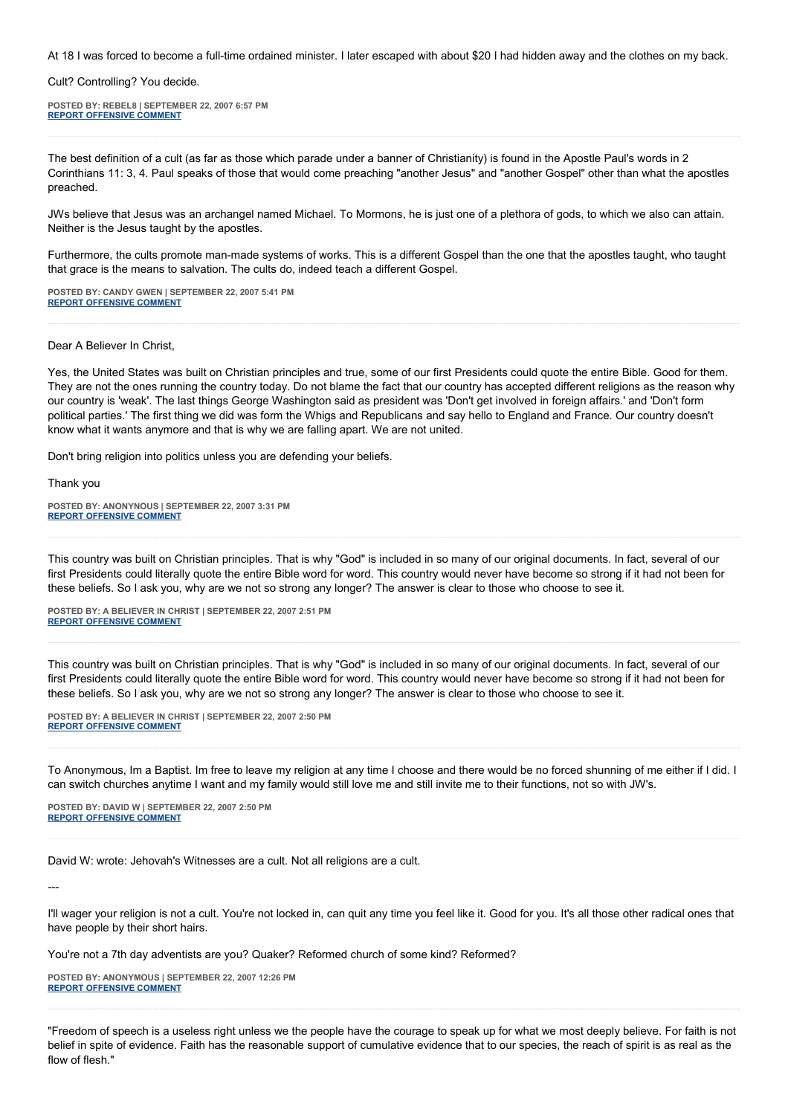At 18 I was forced to become a full-time ordained minister. I later escaped with about \$20 I had hidden away and the clothes on my back.

Cult? Controlling? You decide.

**POSTED BY: REBEL8 | SEPTEMBER 22, 2007 6:57 PM [REPORT OFFENSIVE COMMENT](mailto:blogs@washingtonpost.com?subject=On%20Faith%20Panelists%20Blog%20%20%7C%20%20rebel8%20%20%7C%20%20Freedom%20To%20Speak,%20Courage%20to%20Witness%20%20%7C%20%201417154&body=%0D%0D%0D%0D%0D================%0D?__mode=view%26_type=comment%26id=1417154%26blog_id=618)**

The best definition of a cult (as far as those which parade under a banner of Christianity) is found in the Apostle Paul's words in 2 Corinthians 11: 3, 4. Paul speaks of those that would come preaching "another Jesus" and "another Gospel" other than what the apostles preached.

JWs believe that Jesus was an archangel named Michael. To Mormons, he is just one of a plethora of gods, to which we also can attain. Neither is the Jesus taught by the apostles.

Furthermore, the cults promote man-made systems of works. This is a different Gospel than the one that the apostles taught, who taught that grace is the means to salvation. The cults do, indeed teach a different Gospel.

**POSTED BY: CANDY GWEN | SEPTEMBER 22, 2007 5:41 PM [REPORT OFFENSIVE COMMENT](mailto:blogs@washingtonpost.com?subject=On%20Faith%20Panelists%20Blog%20%20%7C%20%20Candy%20Gwen%20%20%7C%20%20Freedom%20To%20Speak,%20Courage%20to%20Witness%20%20%7C%20%201416881&body=%0D%0D%0D%0D%0D================%0D?__mode=view%26_type=comment%26id=1416881%26blog_id=618)**

#### Dear A Believer In Christ,

Yes, the United States was built on Christian principles and true, some of our first Presidents could quote the entire Bible. Good for them. They are not the ones running the country today. Do not blame the fact that our country has accepted different religions as the reason why our country is 'weak'. The last things George Washington said as president was 'Don't get involved in foreign affairs.' and 'Don't form political parties.' The first thing we did was form the Whigs and Republicans and say hello to England and France. Our country doesn't know what it wants anymore and that is why we are falling apart. We are not united.

Don't bring religion into politics unless you are defending your beliefs.

Thank you

**POSTED BY: ANONYNOUS | SEPTEMBER 22, 2007 3:31 PM [REPORT OFFENSIVE COMMENT](mailto:blogs@washingtonpost.com?subject=On%20Faith%20Panelists%20Blog%20%20%7C%20%20Anonynous%20%20%7C%20%20Freedom%20To%20Speak,%20Courage%20to%20Witness%20%20%7C%20%201416440&body=%0D%0D%0D%0D%0D================%0D?__mode=view%26_type=comment%26id=1416440%26blog_id=618)**

This country was built on Christian principles. That is why "God" is included in so many of our original documents. In fact, several of our first Presidents could literally quote the entire Bible word for word. This country would never have become so strong if it had not been for these beliefs. So I ask you, why are we not so strong any longer? The answer is clear to those who choose to see it.

**POSTED BY: A BELIEVER IN CHRIST | SEPTEMBER 22, 2007 2:51 PM [REPORT OFFENSIVE COMMENT](mailto:blogs@washingtonpost.com?subject=On%20Faith%20Panelists%20Blog%20%20%7C%20%20A%20Believer%20in%20Christ%20%20%7C%20%20Freedom%20To%20Speak,%20Courage%20to%20Witness%20%20%7C%20%201416295&body=%0D%0D%0D%0D%0D================%0D?__mode=view%26_type=comment%26id=1416295%26blog_id=618)**

This country was built on Christian principles. That is why "God" is included in so many of our original documents. In fact, several of our first Presidents could literally quote the entire Bible word for word. This country would never have become so strong if it had not been for these beliefs. So I ask you, why are we not so strong any longer? The answer is clear to those who choose to see it.

**POSTED BY: A BELIEVER IN CHRIST | SEPTEMBER 22, 2007 2:50 PM [REPORT OFFENSIVE COMMENT](mailto:blogs@washingtonpost.com?subject=On%20Faith%20Panelists%20Blog%20%20%7C%20%20A%20Believer%20in%20Christ%20%20%7C%20%20Freedom%20To%20Speak,%20Courage%20to%20Witness%20%20%7C%20%201416293&body=%0D%0D%0D%0D%0D================%0D?__mode=view%26_type=comment%26id=1416293%26blog_id=618)**

To Anonymous, Im a Baptist. Im free to leave my religion at any time I choose and there would be no forced shunning of me either if I did. I can switch churches anytime I want and my family would still love me and still invite me to their functions, not so with JW's.

**POSTED BY: DAVID W | SEPTEMBER 22, 2007 2:50 PM [REPORT OFFENSIVE COMMENT](mailto:blogs@washingtonpost.com?subject=On%20Faith%20Panelists%20Blog%20%20%7C%20%20David%20W%20%20%7C%20%20Freedom%20To%20Speak,%20Courage%20to%20Witness%20%20%7C%20%201416292&body=%0D%0D%0D%0D%0D================%0D?__mode=view%26_type=comment%26id=1416292%26blog_id=618)**

David W: wrote: Jehovah's Witnesses are a cult. Not all religions are a cult.

---

I'll wager your religion is not a cult. You're not locked in, can quit any time you feel like it. Good for you. It's all those other radical ones that have people by their short hairs.

You're not a 7th day adventists are you? Quaker? Reformed church of some kind? Reformed?

**POSTED BY: ANONYMOUS | SEPTEMBER 22, 2007 12:26 PM [REPORT OFFENSIVE COMMENT](mailto:blogs@washingtonpost.com?subject=On%20Faith%20Panelists%20Blog%20%20%7C%20%20Anonymous%20%20%7C%20%20Freedom%20To%20Speak,%20Courage%20to%20Witness%20%20%7C%20%201415694&body=%0D%0D%0D%0D%0D================%0D?__mode=view%26_type=comment%26id=1415694%26blog_id=618)**

"Freedom of speech is a useless right unless we the people have the courage to speak up for what we most deeply believe. For faith is not belief in spite of evidence. Faith has the reasonable support of cumulative evidence that to our species, the reach of spirit is as real as the flow of flesh."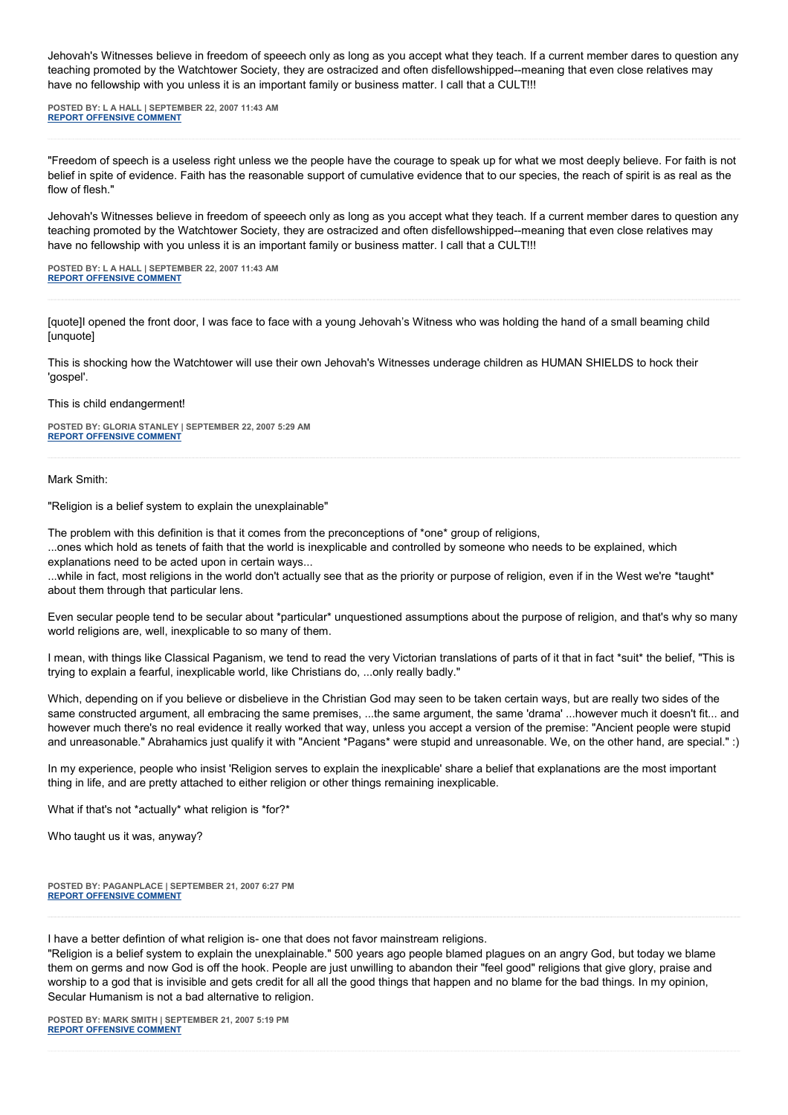Jehovah's Witnesses believe in freedom of speeech only as long as you accept what they teach. If a current member dares to question any teaching promoted by the Watchtower Society, they are ostracized and often disfellowshipped--meaning that even close relatives may have no fellowship with you unless it is an important family or business matter. I call that a CULT!!!

**POSTED BY: L A HALL | SEPTEMBER 22, 2007 11:43 AM [REPORT OFFENSIVE COMMENT](mailto:blogs@washingtonpost.com?subject=On%20Faith%20Panelists%20Blog%20%20%7C%20%20L%20A%20Hall%20%20%7C%20%20Freedom%20To%20Speak,%20Courage%20to%20Witness%20%20%7C%20%201415531&body=%0D%0D%0D%0D%0D================%0D?__mode=view%26_type=comment%26id=1415531%26blog_id=618)**

"Freedom of speech is a useless right unless we the people have the courage to speak up for what we most deeply believe. For faith is not belief in spite of evidence. Faith has the reasonable support of cumulative evidence that to our species, the reach of spirit is as real as the flow of flesh."

Jehovah's Witnesses believe in freedom of speeech only as long as you accept what they teach. If a current member dares to question any teaching promoted by the Watchtower Society, they are ostracized and often disfellowshipped--meaning that even close relatives may have no fellowship with you unless it is an important family or business matter. I call that a CULT!!!

**POSTED BY: L A HALL | SEPTEMBER 22, 2007 11:43 AM [REPORT OFFENSIVE COMMENT](mailto:blogs@washingtonpost.com?subject=On%20Faith%20Panelists%20Blog%20%20%7C%20%20L%20A%20Hall%20%20%7C%20%20Freedom%20To%20Speak,%20Courage%20to%20Witness%20%20%7C%20%201415530&body=%0D%0D%0D%0D%0D================%0D?__mode=view%26_type=comment%26id=1415530%26blog_id=618)**

[quote]I opened the front door, I was face to face with a young Jehovah's Witness who was holding the hand of a small beaming child [unquote]

This is shocking how the Watchtower will use their own Jehovah's Witnesses underage children as HUMAN SHIELDS to hock their 'gospel'.

This is child endangerment!

**POSTED BY: GLORIA STANLEY | SEPTEMBER 22, 2007 5:29 AM [REPORT OFFENSIVE COMMENT](mailto:blogs@washingtonpost.com?subject=On%20Faith%20Panelists%20Blog%20%20%7C%20%20Gloria%20Stanley%20%20%7C%20%20Freedom%20To%20Speak,%20Courage%20to%20Witness%20%20%7C%20%201414215&body=%0D%0D%0D%0D%0D================%0D?__mode=view%26_type=comment%26id=1414215%26blog_id=618)**

Mark Smith:

"Religion is a belief system to explain the unexplainable"

The problem with this definition is that it comes from the preconceptions of \*one\* group of religions,

...ones which hold as tenets of faith that the world is inexplicable and controlled by someone who needs to be explained, which explanations need to be acted upon in certain ways.

...while in fact, most religions in the world don't actually see that as the priority or purpose of religion, even if in the West we're \*taught\* about them through that particular lens.

Even secular people tend to be secular about \*particular\* unquestioned assumptions about the purpose of religion, and that's why so many world religions are, well, inexplicable to so many of them.

I mean, with things like Classical Paganism, we tend to read the very Victorian translations of parts of it that in fact \*suit\* the belief, "This is trying to explain a fearful, inexplicable world, like Christians do, ...only really badly."

Which, depending on if you believe or disbelieve in the Christian God may seen to be taken certain ways, but are really two sides of the same constructed argument, all embracing the same premises, ...the same argument, the same 'drama' ...however much it doesn't fit... and however much there's no real evidence it really worked that way, unless you accept a version of the premise: "Ancient people were stupid and unreasonable." Abrahamics just qualify it with "Ancient \*Pagans\* were stupid and unreasonable. We, on the other hand, are special." :)

In my experience, people who insist 'Religion serves to explain the inexplicable' share a belief that explanations are the most important thing in life, and are pretty attached to either religion or other things remaining inexplicable.

What if that's not \*actually\* what religion is \*for?\*

Who taught us it was, anyway?

**POSTED BY: PAGANPLACE | SEPTEMBER 21, 2007 6:27 PM [REPORT OFFENSIVE COMMENT](mailto:blogs@washingtonpost.com?subject=On%20Faith%20Panelists%20Blog%20%20%7C%20%20Paganplace%20%20%7C%20%20Freedom%20To%20Speak,%20Courage%20to%20Witness%20%20%7C%20%201412311&body=%0D%0D%0D%0D%0D================%0D?__mode=view%26_type=comment%26id=1412311%26blog_id=618)**

I have a better defintion of what religion is- one that does not favor mainstream religions.

"Religion is a belief system to explain the unexplainable." 500 years ago people blamed plagues on an angry God, but today we blame them on germs and now God is off the hook. People are just unwilling to abandon their "feel good" religions that give glory, praise and worship to a god that is invisible and gets credit for all all the good things that happen and no blame for the bad things. In my opinion, Secular Humanism is not a bad alternative to religion.

**POSTED BY: MARK SMITH | SEPTEMBER 21, 2007 5:19 PM [REPORT OFFENSIVE COMMENT](mailto:blogs@washingtonpost.com?subject=On%20Faith%20Panelists%20Blog%20%20%7C%20%20Mark%20Smith%20%20%7C%20%20Freedom%20To%20Speak,%20Courage%20to%20Witness%20%20%7C%20%201412105&body=%0D%0D%0D%0D%0D================%0D?__mode=view%26_type=comment%26id=1412105%26blog_id=618)**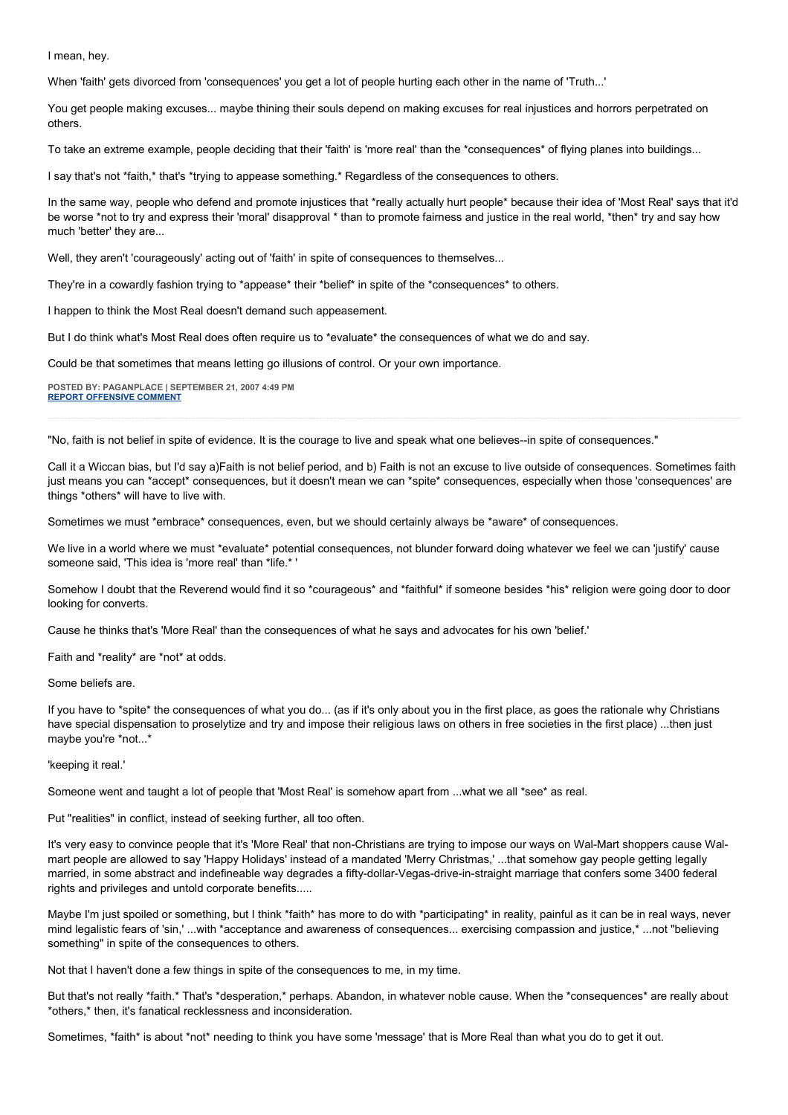I mean, hey.

When 'faith' gets divorced from 'consequences' you get a lot of people hurting each other in the name of 'Truth...'

You get people making excuses... maybe thining their souls depend on making excuses for real injustices and horrors perpetrated on others.

To take an extreme example, people deciding that their 'faith' is 'more real' than the \*consequences\* of flying planes into buildings...

I say that's not \*faith,\* that's \*trying to appease something.\* Regardless of the consequences to others.

In the same way, people who defend and promote injustices that \*really actually hurt people\* because their idea of 'Most Real' says that it'd be worse \*not to try and express their 'moral' disapproval \* than to promote fairness and justice in the real world, \*then\* try and say how much 'better' they are...

Well, they aren't 'courageously' acting out of 'faith' in spite of consequences to themselves...

They're in a cowardly fashion trying to \*appease\* their \*belief\* in spite of the \*consequences\* to others.

I happen to think the Most Real doesn't demand such appeasement.

But I do think what's Most Real does often require us to \*evaluate\* the consequences of what we do and say.

Could be that sometimes that means letting go illusions of control. Or your own importance.

**POSTED BY: PAGANPLACE | SEPTEMBER 21, 2007 4:49 PM [REPORT OFFENSIVE COMMENT](mailto:blogs@washingtonpost.com?subject=On%20Faith%20Panelists%20Blog%20%20%7C%20%20Paganplace%20%20%7C%20%20Freedom%20To%20Speak,%20Courage%20to%20Witness%20%20%7C%20%201412029&body=%0D%0D%0D%0D%0D================%0D?__mode=view%26_type=comment%26id=1412029%26blog_id=618)**

"No, faith is not belief in spite of evidence. It is the courage to live and speak what one believes--in spite of consequences."

Call it a Wiccan bias, but I'd say a)Faith is not belief period, and b) Faith is not an excuse to live outside of consequences. Sometimes faith just means you can \*accept\* consequences, but it doesn't mean we can \*spite\* consequences, especially when those 'consequences' are things \*others\* will have to live with.

Sometimes we must \*embrace\* consequences, even, but we should certainly always be \*aware\* of consequences.

We live in a world where we must \*evaluate\* potential consequences, not blunder forward doing whatever we feel we can 'justify' cause someone said, 'This idea is 'more real' than \*life.\*

Somehow I doubt that the Reverend would find it so \*courageous\* and \*faithful\* if someone besides \*his\* religion were going door to door looking for converts.

Cause he thinks that's 'More Real' than the consequences of what he says and advocates for his own 'belief.'

Faith and \*reality\* are \*not\* at odds.

Some beliefs are.

If you have to \*spite\* the consequences of what you do... (as if it's only about you in the first place, as goes the rationale why Christians have special dispensation to proselytize and try and impose their religious laws on others in free societies in the first place) ...then just maybe you're \*not...\*

'keeping it real.'

Someone went and taught a lot of people that 'Most Real' is somehow apart from ...what we all \*see\* as real.

Put "realities" in conflict, instead of seeking further, all too often.

It's very easy to convince people that it's 'More Real' that non-Christians are trying to impose our ways on Wal-Mart shoppers cause Walmart people are allowed to say 'Happy Holidays' instead of a mandated 'Merry Christmas,' ...that somehow gay people getting legally married, in some abstract and indefineable way degrades a fifty-dollar-Vegas-drive-in-straight marriage that confers some 3400 federal rights and privileges and untold corporate benefits.....

Maybe I'm just spoiled or something, but I think \*faith\* has more to do with \*participating\* in reality, painful as it can be in real ways, never mind legalistic fears of 'sin,' ...with \*acceptance and awareness of consequences... exercising compassion and justice,\* ...not "believing something" in spite of the consequences to others.

Not that I haven't done a few things in spite of the consequences to me, in my time.

But that's not really \*faith.\* That's \*desperation.\* perhaps. Abandon, in whatever noble cause. When the \*consequences\* are really about \*others,\* then, it's fanatical recklessness and inconsideration.

Sometimes, \*faith\* is about \*not\* needing to think you have some 'message' that is More Real than what you do to get it out.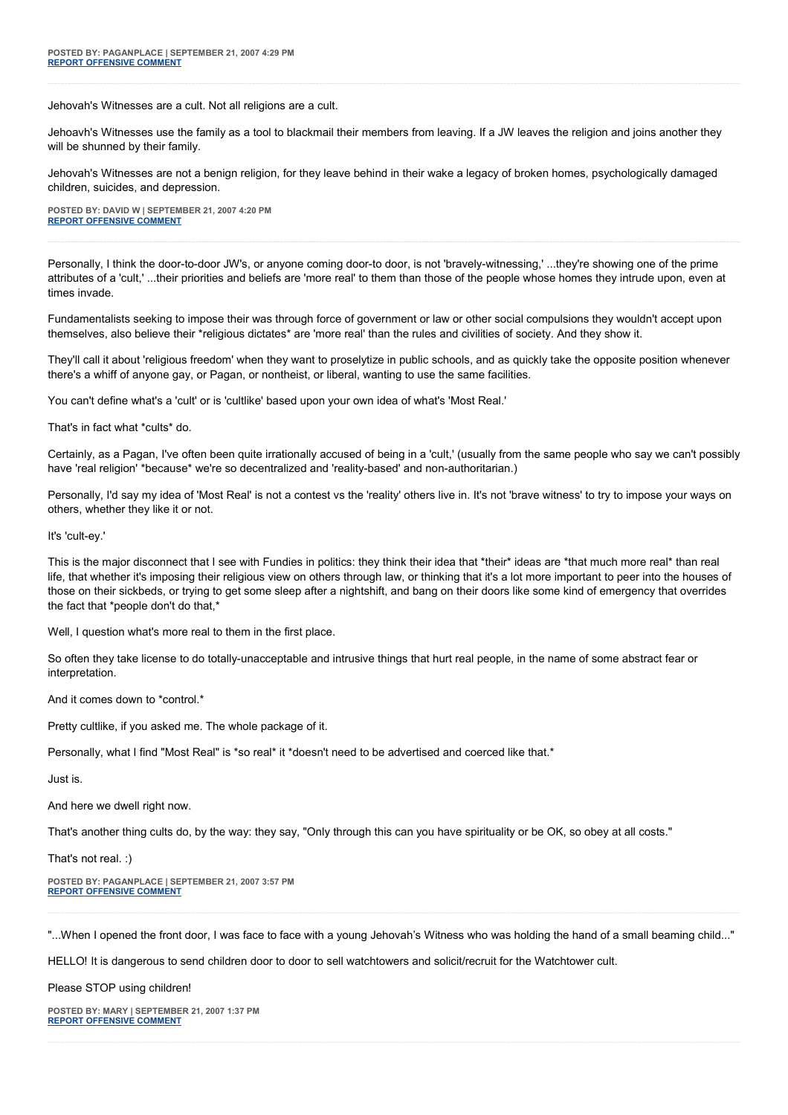Jehovah's Witnesses are a cult. Not all religions are a cult.

Jehoavh's Witnesses use the family as a tool to blackmail their members from leaving. If a JW leaves the religion and joins another they will be shunned by their family.

Jehovah's Witnesses are not a benign religion, for they leave behind in their wake a legacy of broken homes, psychologically damaged children, suicides, and depression.

**POSTED BY: DAVID W | SEPTEMBER 21, 2007 4:20 PM [REPORT OFFENSIVE COMMENT](mailto:blogs@washingtonpost.com?subject=On%20Faith%20Panelists%20Blog%20%20%7C%20%20David%20W%20%20%7C%20%20Freedom%20To%20Speak,%20Courage%20to%20Witness%20%20%7C%20%201411940&body=%0D%0D%0D%0D%0D================%0D?__mode=view%26_type=comment%26id=1411940%26blog_id=618)**

Personally, I think the door-to-door JW's, or anyone coming door-to door, is not 'bravely-witnessing,' ...they're showing one of the prime attributes of a 'cult,' ...their priorities and beliefs are 'more real' to them than those of the people whose homes they intrude upon, even at times invade.

Fundamentalists seeking to impose their was through force of government or law or other social compulsions they wouldn't accept upon themselves, also believe their \*religious dictates\* are 'more real' than the rules and civilities of society. And they show it.

They'll call it about 'religious freedom' when they want to proselytize in public schools, and as quickly take the opposite position whenever there's a whiff of anyone gay, or Pagan, or nontheist, or liberal, wanting to use the same facilities.

You can't define what's a 'cult' or is 'cultlike' based upon your own idea of what's 'Most Real.'

That's in fact what \*cults\* do.

Certainly, as a Pagan, I've often been quite irrationally accused of being in a 'cult,' (usually from the same people who say we can't possibly have 'real religion' \*because\* we're so decentralized and 'reality-based' and non-authoritarian.)

Personally, I'd say my idea of 'Most Real' is not a contest vs the 'reality' others live in. It's not 'brave witness' to try to impose your ways on others, whether they like it or not.

It's 'cult-ey.'

This is the major disconnect that I see with Fundies in politics: they think their idea that \*their\* ideas are \*that much more real\* than real life, that whether it's imposing their religious view on others through law, or thinking that it's a lot more important to peer into the houses of those on their sickbeds, or trying to get some sleep after a nightshift, and bang on their doors like some kind of emergency that overrides the fact that \*people don't do that,\*

Well, I question what's more real to them in the first place.

So often they take license to do totally-unacceptable and intrusive things that hurt real people, in the name of some abstract fear or interpretation.

And it comes down to \*control.\*

Pretty cultlike, if you asked me. The whole package of it.

Personally, what I find "Most Real" is \*so real\* it \*doesn't need to be advertised and coerced like that.\*

Just is.

And here we dwell right now.

That's another thing cults do, by the way: they say, "Only through this can you have spirituality or be OK, so obey at all costs."

That's not real. :)

**POSTED BY: PAGANPLACE | SEPTEMBER 21, 2007 3:57 PM [REPORT OFFENSIVE COMMENT](mailto:blogs@washingtonpost.com?subject=On%20Faith%20Panelists%20Blog%20%20%7C%20%20Paganplace%20%20%7C%20%20Freedom%20To%20Speak,%20Courage%20to%20Witness%20%20%7C%20%201411873&body=%0D%0D%0D%0D%0D================%0D?__mode=view%26_type=comment%26id=1411873%26blog_id=618)**

"...When I opened the front door, I was face to face with a young Jehovah's Witness who was holding the hand of a small beaming child..."

HELLO! It is dangerous to send children door to door to sell watchtowers and solicit/recruit for the Watchtower cult.

Please STOP using children!

**POSTED BY: MARY | SEPTEMBER 21, 2007 1:37 PM [REPORT OFFENSIVE COMMENT](mailto:blogs@washingtonpost.com?subject=On%20Faith%20Panelists%20Blog%20%20%7C%20%20Mary%20%20%7C%20%20Freedom%20To%20Speak,%20Courage%20to%20Witness%20%20%7C%20%201411499&body=%0D%0D%0D%0D%0D================%0D?__mode=view%26_type=comment%26id=1411499%26blog_id=618)**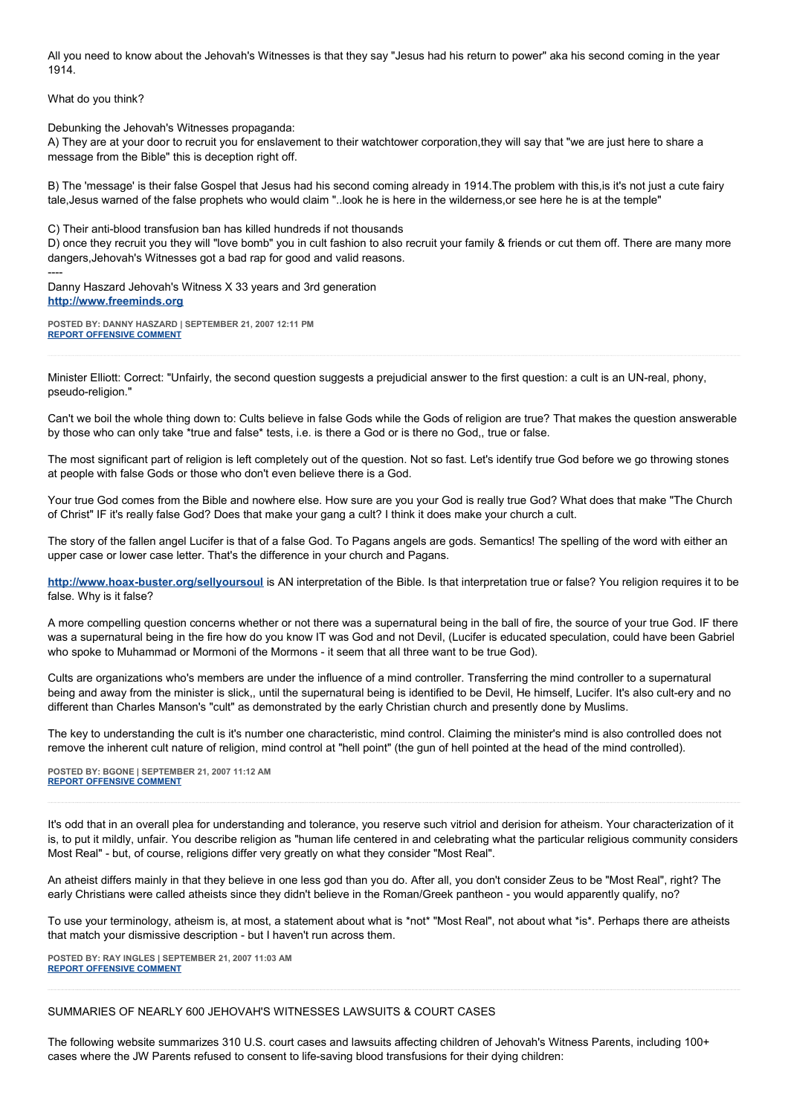All you need to know about the Jehovah's Witnesses is that they say "Jesus had his return to power" aka his second coming in the year 1914.

What do you think?

Debunking the Jehovah's Witnesses propaganda:

A) They are at your door to recruit you for enslavement to their watchtower corporation,they will say that "we are just here to share a message from the Bible" this is deception right off.

B) The 'message' is their false Gospel that Jesus had his second coming already in 1914. The problem with this, is it's not just a cute fairy tale,Jesus warned of the false prophets who would claim "..look he is here in the wilderness,or see here he is at the temple"

C) Their anti-blood transfusion ban has killed hundreds if not thousands

D) once they recruit you they will "love bomb" you in cult fashion to also recruit your family & friends or cut them off. There are many more dangers,Jehovah's Witnesses got a bad rap for good and valid reasons.

---- Danny Haszard Jehovah's Witness X 33 years and 3rd generation **[http://www.freeminds.org](http://www.freeminds.org/)**

**POSTED BY: DANNY HASZARD | SEPTEMBER 21, 2007 12:11 PM [REPORT OFFENSIVE COMMENT](mailto:blogs@washingtonpost.com?subject=On%20Faith%20Panelists%20Blog%20%20%7C%20%20Danny%20Haszard%20%20%7C%20%20Freedom%20To%20Speak,%20Courage%20to%20Witness%20%20%7C%20%201411178&body=%0D%0D%0D%0D%0D================%0D?__mode=view%26_type=comment%26id=1411178%26blog_id=618)**

Minister Elliott: Correct: "Unfairly, the second question suggests a prejudicial answer to the first question: a cult is an UN-real, phony, pseudo-religion."

Can't we boil the whole thing down to: Cults believe in false Gods while the Gods of religion are true? That makes the question answerable by those who can only take \*true and false\* tests, i.e. is there a God or is there no God,, true or false.

The most significant part of religion is left completely out of the question. Not so fast. Let's identify true God before we go throwing stones at people with false Gods or those who don't even believe there is a God.

Your true God comes from the Bible and nowhere else. How sure are you your God is really true God? What does that make "The Church of Christ" IF it's really false God? Does that make your gang a cult? I think it does make your church a cult.

The story of the fallen angel Lucifer is that of a false God. To Pagans angels are gods. Semantics! The spelling of the word with either an upper case or lower case letter. That's the difference in your church and Pagans.

**<http://www.hoax-buster.org/sellyoursoul>** is AN interpretation of the Bible. Is that interpretation true or false? You religion requires it to be false. Why is it false?

A more compelling question concerns whether or not there was a supernatural being in the ball of fire, the source of your true God. IF there was a supernatural being in the fire how do you know IT was God and not Devil, (Lucifer is educated speculation, could have been Gabriel who spoke to Muhammad or Mormoni of the Mormons - it seem that all three want to be true God).

Cults are organizations who's members are under the influence of a mind controller. Transferring the mind controller to a supernatural being and away from the minister is slick,, until the supernatural being is identified to be Devil, He himself, Lucifer. It's also cult-ery and no different than Charles Manson's "cult" as demonstrated by the early Christian church and presently done by Muslims.

The key to understanding the cult is it's number one characteristic, mind control. Claiming the minister's mind is also controlled does not remove the inherent cult nature of religion, mind control at "hell point" (the gun of hell pointed at the head of the mind controlled).

**POSTED BY: BGONE | SEPTEMBER 21, 2007 11:12 AM [REPORT OFFENSIVE COMMENT](mailto:blogs@washingtonpost.com?subject=On%20Faith%20Panelists%20Blog%20%20%7C%20%20BGone%20%20%7C%20%20Freedom%20To%20Speak,%20Courage%20to%20Witness%20%20%7C%20%201410968&body=%0D%0D%0D%0D%0D================%0D?__mode=view%26_type=comment%26id=1410968%26blog_id=618)**

It's odd that in an overall plea for understanding and tolerance, you reserve such vitriol and derision for atheism. Your characterization of it is, to put it mildly, unfair. You describe religion as "human life centered in and celebrating what the particular religious community considers Most Real" - but, of course, religions differ very greatly on what they consider "Most Real".

An atheist differs mainly in that they believe in one less god than you do. After all, you don't consider Zeus to be "Most Real", right? The early Christians were called atheists since they didn't believe in the Roman/Greek pantheon - you would apparently qualify, no?

To use your terminology, atheism is, at most, a statement about what is \*not\* "Most Real", not about what \*is\*. Perhaps there are atheists that match your dismissive description - but I haven't run across them.

**POSTED BY: RAY INGLES | SEPTEMBER 21, 2007 11:03 AM [REPORT OFFENSIVE COMMENT](mailto:blogs@washingtonpost.com?subject=On%20Faith%20Panelists%20Blog%20%20%7C%20%20Ray%20Ingles%20%20%7C%20%20Freedom%20To%20Speak,%20Courage%20to%20Witness%20%20%7C%20%201410924&body=%0D%0D%0D%0D%0D================%0D?__mode=view%26_type=comment%26id=1410924%26blog_id=618)**

SUMMARIES OF NEARLY 600 JEHOVAH'S WITNESSES LAWSUITS & COURT CASES

The following website summarizes 310 U.S. court cases and lawsuits affecting children of Jehovah's Witness Parents, including 100+ cases where the JW Parents refused to consent to life-saving blood transfusions for their dying children: